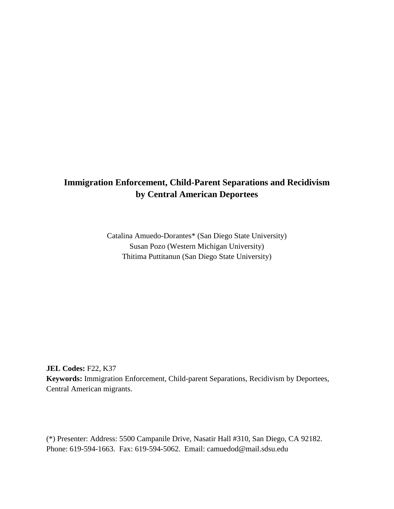## **Immigration Enforcement, Child-Parent Separations and Recidivism by Central American Deportees**

Catalina Amuedo-Dorantes\* (San Diego State University) Susan Pozo (Western Michigan University) Thitima Puttitanun (San Diego State University)

**JEL Codes:** F22, K37 **Keywords:** Immigration Enforcement, Child-parent Separations, Recidivism by Deportees, Central American migrants.

(\*) Presenter: Address: 5500 Campanile Drive, Nasatir Hall #310, San Diego, CA 92182. Phone: 619-594-1663. Fax: 619-594-5062. Email: [camuedod@mail.sdsu.edu](mailto:camuedod@mail.sdsu.edu)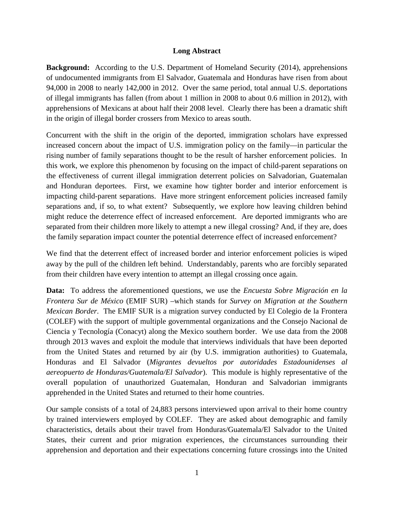## **Long Abstract**

**Background:** According to the U.S. Department of Homeland Security (2014), apprehensions of undocumented immigrants from El Salvador, Guatemala and Honduras have risen from about 94,000 in 2008 to nearly 142,000 in 2012. Over the same period, total annual U.S. deportations of illegal immigrants has fallen (from about 1 million in 2008 to about 0.6 million in 2012), with apprehensions of Mexicans at about half their 2008 level. Clearly there has been a dramatic shift in the origin of illegal border crossers from Mexico to areas south.

Concurrent with the shift in the origin of the deported, immigration scholars have expressed increased concern about the impact of U.S. immigration policy on the family—in particular the rising number of family separations thought to be the result of harsher enforcement policies. In this work, we explore this phenomenon by focusing on the impact of child-parent separations on the effectiveness of current illegal immigration deterrent policies on Salvadorian, Guatemalan and Honduran deportees. First, we examine how tighter border and interior enforcement is impacting child-parent separations. Have more stringent enforcement policies increased family separations and, if so, to what extent? Subsequently, we explore how leaving children behind might reduce the deterrence effect of increased enforcement. Are deported immigrants who are separated from their children more likely to attempt a new illegal crossing? And, if they are, does the family separation impact counter the potential deterrence effect of increased enforcement?

We find that the deterrent effect of increased border and interior enforcement policies is wiped away by the pull of the children left behind. Understandably, parents who are forcibly separated from their children have every intention to attempt an illegal crossing once again.

**Data:** To address the aforementioned questions, we use the *Encuesta Sobre Migración en la Frontera Sur de México* (EMIF SUR) –which stands for *Survey on Migration at the Southern Mexican Border*. The EMIF SUR is a migration survey conducted by El Colegio de la Frontera (COLEF) with the support of multiple governmental organizations and the Consejo Nacional de Ciencia y Tecnología (Conacyt) along the Mexico southern border. We use data from the 2008 through 2013 waves and exploit the module that interviews individuals that have been deported from the United States and returned by air (by U.S. immigration authorities) to Guatemala, Honduras and El Salvador (*Migrantes devueltos por autoridades Estadounidenses al aereopuerto de Honduras/Guatemala/El Salvador*). This module is highly representative of the overall population of unauthorized Guatemalan, Honduran and Salvadorian immigrants apprehended in the United States and returned to their home countries.

Our sample consists of a total of 24,883 persons interviewed upon arrival to their home country by trained interviewers employed by COLEF. They are asked about demographic and family characteristics, details about their travel from Honduras/Guatemala/El Salvador to the United States, their current and prior migration experiences, the circumstances surrounding their apprehension and deportation and their expectations concerning future crossings into the United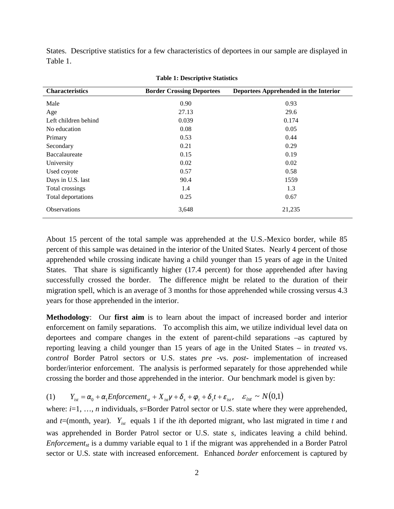States. Descriptive statistics for a few characteristics of deportees in our sample are displayed in Table 1.

| <b>Characteristics</b> | <b>Border Crossing Deportees</b> | Deportees Apprehended in the Interior |
|------------------------|----------------------------------|---------------------------------------|
| Male                   | 0.90                             | 0.93                                  |
| Age                    | 27.13                            | 29.6                                  |
| Left children behind   | 0.039                            | 0.174                                 |
| No education           | 0.08                             | 0.05                                  |
| Primary                | 0.53                             | 0.44                                  |
| Secondary              | 0.21                             | 0.29                                  |
| Baccalaureate          | 0.15                             | 0.19                                  |
| University             | 0.02                             | 0.02                                  |
| Used coyote            | 0.57                             | 0.58                                  |
| Days in U.S. last      | 90.4                             | 1559                                  |
| Total crossings        | 1.4                              | 1.3                                   |
| Total deportations     | 0.25                             | 0.67                                  |
| <b>Observations</b>    | 3,648                            | 21,235                                |

## **Table 1: Descriptive Statistics**

About 15 percent of the total sample was apprehended at the U.S.-Mexico border, while 85 percent of this sample was detained in the interior of the United States. Nearly 4 percent of those apprehended while crossing indicate having a child younger than 15 years of age in the United States. That share is significantly higher (17.4 percent) for those apprehended after having successfully crossed the border. The difference might be related to the duration of their migration spell, which is an average of 3 months for those apprehended while crossing versus 4.3 years for those apprehended in the interior.

**Methodology**: Our **first aim** is to learn about the impact of increased border and interior enforcement on family separations. To accomplish this aim, we utilize individual level data on deportees and compare changes in the extent of parent-child separations –as captured by reporting leaving a child younger than 15 years of age in the United States – in *treated* vs. *control* Border Patrol sectors or U.S. states *pre* -vs. *post-* implementation of increased border/interior enforcement. The analysis is performed separately for those apprehended while crossing the border and those apprehended in the interior. Our benchmark model is given by:

(1) 
$$
Y_{ist} = \alpha_0 + \alpha_1 Enforcement_{st} + X_{ist} \gamma + \delta_s + \varphi_t + \delta_s t + \varepsilon_{ist}, \quad \varepsilon_{ist} \sim N(0,1)
$$

where: *i*=1, …, *n* individuals, *s*=Border Patrol sector or U.S. state where they were apprehended, and  $t$ =(month, year).  $Y_{\text{int}}$  equals 1 if the *i*th deported migrant, who last migrated in time *t* and was apprehended in Border Patrol sector or U.S. state *s*, indicates leaving a child behind. *Enforcement<sub>st</sub>* is a dummy variable equal to 1 if the migrant was apprehended in a Border Patrol sector or U.S. state with increased enforcement. Enhanced *border* enforcement is captured by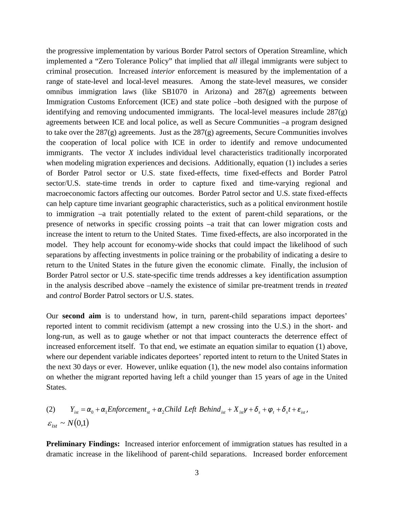the progressive implementation by various Border Patrol sectors of Operation Streamline, which implemented a "Zero Tolerance Policy" that implied that *all* illegal immigrants were subject to criminal prosecution. Increased *interior* enforcement is measured by the implementation of a range of state-level and local-level measures. Among the state-level measures, we consider omnibus immigration laws (like SB1070 in Arizona) and 287(g) agreements between Immigration Customs Enforcement (ICE) and state police –both designed with the purpose of identifying and removing undocumented immigrants. The local-level measures include 287(g) agreements between ICE and local police, as well as Secure Communities –a program designed to take over the  $287(g)$  agreements. Just as the  $287(g)$  agreements, Secure Communities involves the cooperation of local police with ICE in order to identify and remove undocumented immigrants. The vector *X* includes individual level characteristics traditionally incorporated when modeling migration experiences and decisions. Additionally, equation (1) includes a series of Border Patrol sector or U.S. state fixed-effects, time fixed-effects and Border Patrol sector/U.S. state-time trends in order to capture fixed and time-varying regional and macroeconomic factors affecting our outcomes. Border Patrol sector and U.S. state fixed-effects can help capture time invariant geographic characteristics, such as a political environment hostile to immigration –a trait potentially related to the extent of parent-child separations, or the presence of networks in specific crossing points –a trait that can lower migration costs and increase the intent to return to the United States. Time fixed-effects, are also incorporated in the model. They help account for economy-wide shocks that could impact the likelihood of such separations by affecting investments in police training or the probability of indicating a desire to return to the United States in the future given the economic climate. Finally, the inclusion of Border Patrol sector or U.S. state-specific time trends addresses a key identification assumption in the analysis described above –namely the existence of similar pre-treatment trends in *treated* and *control* Border Patrol sectors or U.S. states.

Our **second aim** is to understand how, in turn, parent-child separations impact deportees' reported intent to commit recidivism (attempt a new crossing into the U.S.) in the short- and long-run, as well as to gauge whether or not that impact counteracts the deterrence effect of increased enforcement itself. To that end, we estimate an equation similar to equation (1) above, where our dependent variable indicates deportees' reported intent to return to the United States in the next 30 days or ever. However, unlike equation (1), the new model also contains information on whether the migrant reported having left a child younger than 15 years of age in the United States.

(2) 
$$
Y_{ist} = \alpha_0 + \alpha_1 Enforcement_{st} + \alpha_2 Child \text{ Left Behind}_{ist} + X_{ist} \gamma + \delta_s + \varphi_t + \delta_s t + \varepsilon_{ist},
$$
  
 $\varepsilon_{ist} \sim N(0,1)$ 

**Preliminary Findings:** Increased interior enforcement of immigration statues has resulted in a dramatic increase in the likelihood of parent-child separations. Increased border enforcement